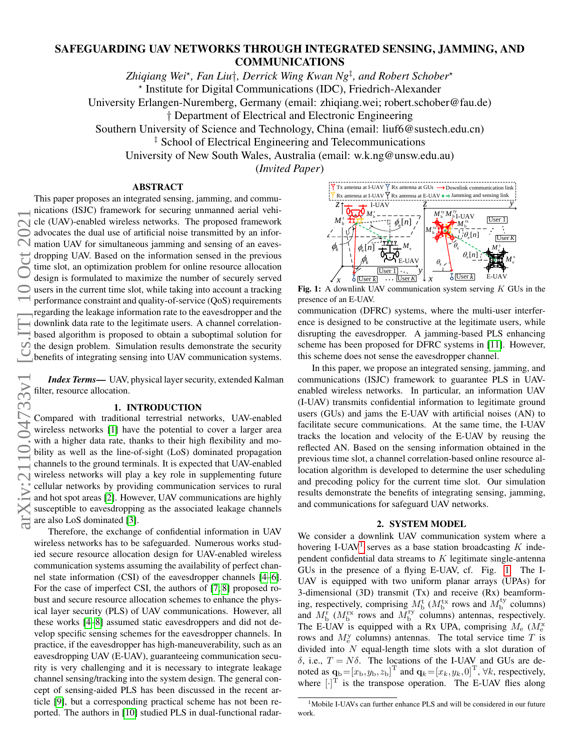# arXiv:2110.04733v1 [cs.IT] 10 Oct 2021iv:2110.04733v1

# SAFEGUARDING UAV NETWORKS THROUGH INTEGRATED SENSING, JAMMING, AND COMMUNICATIONS

*Zhiqiang Wei*? *, Fan Liu*†*, Derrick Wing Kwan Ng*‡ *, and Robert Schober*? ? Institute for Digital Communications (IDC), Friedrich-Alexander

University Erlangen-Nuremberg, Germany (email: zhiqiang.wei; robert.schober@fau.de)

† Department of Electrical and Electronic Engineering

Southern University of Science and Technology, China (email: liuf6@sustech.edu.cn)

<sup>‡</sup> School of Electrical Engineering and Telecommunications

University of New South Wales, Australia (email: w.k.ng@unsw.edu.au)

(*Invited Paper*)

# ABSTRACT This paper proposes an integrated sensing, jamming, and commu-

<span id="page-0-1"></span>Tx antenna at I-UAV Rx antenna at GUs Downlink communication link Rx antenna at I-UAV Rx antenna at E-UAV ning and sensing link I-UAV *z z y*  $M_{\rm \,b}^{\rm \,r}$  $M_{\rm b}^{\rm ty}$  $M_{\rm b\, I\text{-}UAV}^{\rm ry}$ User 1  $\boldsymbol{M}_\mathsf{b}^\mathsf{t}$  $\phi_{\rm e}[n]$ rx *<sup>M</sup>*<sup>b</sup>  $M_{\rm b}^{\rm tx}$  $\Box_{\theta_{\rm e}}[n]$ User *K* **YYYY**  $\phi_{\scriptscriptstyle k}$  $\theta_{\scriptscriptstyle k}$  $\phi_{\rm e}[n]$  $M_{\rm e}$  $M_{\rm e}^{\rm y}$  $\theta$ <sup>n</sup>  $\pmb{\phi}_k$  $M_{\scriptscriptstyle e}^{\scriptscriptstyle X}$ E-UAV  $\theta_{\scriptscriptstyle k}$ User 1 *y* User *k* E-UAV User *k* User *K x x*

Fig. 1: A downlink UAV communication system serving  $K$  GUs in the presence of an E-UAV.

communication (DFRC) systems, where the multi-user interference is designed to be constructive at the legitimate users, while disrupting the eavesdropper. A jamming-based PLS enhancing scheme has been proposed for DFRC systems in [\[11\]](#page-4-9). However, this scheme does not sense the eavesdropper channel.

In this paper, we propose an integrated sensing, jamming, and communications (ISJC) framework to guarantee PLS in UAVenabled wireless networks. In particular, an information UAV (I-UAV) transmits confidential information to legitimate ground users (GUs) and jams the E-UAV with artificial noises (AN) to facilitate secure communications. At the same time, the I-UAV tracks the location and velocity of the E-UAV by reusing the reflected AN. Based on the sensing information obtained in the previous time slot, a channel correlation-based online resource allocation algorithm is developed to determine the user scheduling and precoding policy for the current time slot. Our simulation results demonstrate the benefits of integrating sensing, jamming, and communications for safeguard UAV networks.

## 2. SYSTEM MODEL

We consider a downlink UAV communication system where a hovering I-UAV<sup>[1](#page-0-0)</sup> serves as a base station broadcasting  $K$  independent confidential data streams to  $K$  legitimate single-antenna GUs in the presence of a flying E-UAV, cf. Fig. [1.](#page-0-1) The I-UAV is equipped with two uniform planar arrays (UPAs) for 3-dimensional (3D) transmit (Tx) and receive (Rx) beamforming, respectively, comprising  $M_{\rm b}^{\rm t}$  ( $M_{\rm b}^{\rm tx}$  rows and  $M_{\rm b}^{\rm ty}$  columns) and  $M_{\rm b}^{\rm r}$  ( $M_{\rm b}^{\rm rx}$  rows and  $M_{\rm b}^{\rm ry}$  columns) antennas, respectively. The E-UAV is equipped with a Rx UPA, comprising  $M_e$  ( $M_e^x$ rows and  $M_e^y$  columns) antennas. The total service time T is divided into  $N$  equal-length time slots with a slot duration of δ, i.e.,  $T = N\delta$ . The locations of the I-UAV and GUs are denoted as  $\mathbf{q}_b = [x_b, y_b, z_b]^T$  and  $\mathbf{q}_k = [x_k, y_k, 0]^T$ ,  $\forall k$ , respectively, where  $[\cdot]^\text{T}$  is the transpose operation. The E-UAV flies along

nications (ISJC) framework for securing unmanned aerial vehicle (UAV)-enabled wireless networks. The proposed framework advocates the dual use of artificial noise transmitted by an information UAV for simultaneous jamming and sensing of an eavesdropping UAV. Based on the information sensed in the previous time slot, an optimization problem for online resource allocation design is formulated to maximize the number of securely served  $\bigcirc$  users in the current time slot, while taking into account a tracking performance constraint and quality-of-service (QoS) requirements regarding the leakage information rate to the eavesdropper and the downlink data rate to the legitimate users. A channel correlationbased algorithm is proposed to obtain a suboptimal solution for the design problem. Simulation results demonstrate the security benefits of integrating sensing into UAV communication systems.

*Index Terms*— UAV, physical layer security, extended Kalman filter, resource allocation.

### 1. INTRODUCTION

Compared with traditional terrestrial networks, UAV-enabled wireless networks [\[1\]](#page-4-0) have the potential to cover a larger area with a higher data rate, thanks to their high flexibility and mobility as well as the line-of-sight (LoS) dominated propagation channels to the ground terminals. It is expected that UAV-enabled wireless networks will play a key role in supplementing future cellular networks by providing communication services to rural and hot spot areas [\[2\]](#page-4-1). However, UAV communications are highly susceptible to eavesdropping as the associated leakage channels are also LoS dominated [\[3\]](#page-4-2).

Therefore, the exchange of confidential information in UAV wireless networks has to be safeguarded. Numerous works studied secure resource allocation design for UAV-enabled wireless communication systems assuming the availability of perfect channel state information (CSI) of the eavesdropper channels [\[4–](#page-4-3)[6\]](#page-4-4). For the case of imperfect CSI, the authors of [\[7,](#page-4-5) [8\]](#page-4-6) proposed robust and secure resource allocation schemes to enhance the physical layer security (PLS) of UAV communications. However, all these works [\[4–](#page-4-3)[8\]](#page-4-6) assumed static eavesdroppers and did not develop specific sensing schemes for the eavesdropper channels. In practice, if the eavesdropper has high-maneuverability, such as an eavesdropping UAV (E-UAV), guaranteeing communication security is very challenging and it is necessary to integrate leakage channel sensing/tracking into the system design. The general concept of sensing-aided PLS has been discussed in the recent article [\[9\]](#page-4-7), but a corresponding practical scheme has not been reported. The authors in [\[10\]](#page-4-8) studied PLS in dual-functional radar-

<span id="page-0-0"></span><sup>&</sup>lt;sup>1</sup>Mobile I-UAVs can further enhance PLS and will be considered in our future work.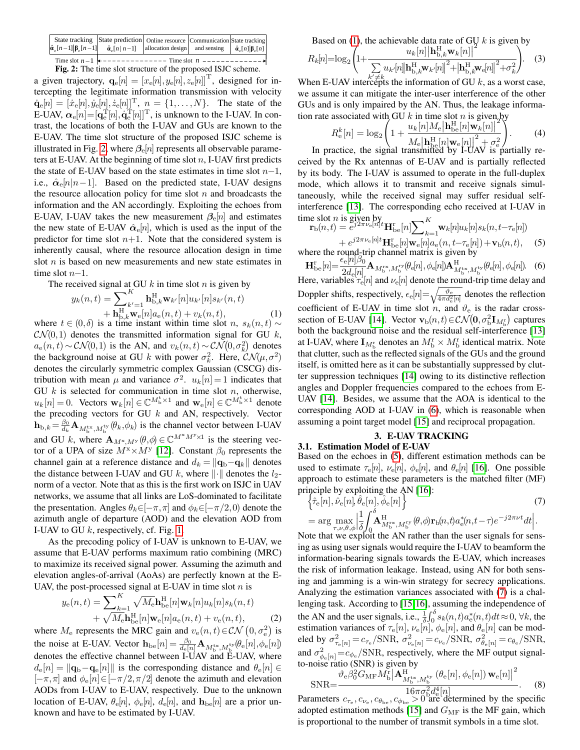<span id="page-1-0"></span>

| State tracking State prediction Online resource Communication State tracking<br>$ \hat{a}_{\varepsilon}[n-1] \beta_{\varepsilon}[n-1] $ $\hat{a}_{\varepsilon}[n n-1]$ allocation design and sensing $ \hat{a}_{\varepsilon}[n] \beta_{\varepsilon}[n]$ |                                                                          |  |  |
|---------------------------------------------------------------------------------------------------------------------------------------------------------------------------------------------------------------------------------------------------------|--------------------------------------------------------------------------|--|--|
|                                                                                                                                                                                                                                                         | Time slot $n-1$ $\leftarrow$ -------------- Time slot $n$ -------------- |  |  |

Fig. 2: The time slot structure of the proposed ISJC scheme.

a given trajectory,  $\mathbf{q}_e[n] = [x_e[n], y_e[n], z_e[n]]^\text{T}$ , designed for intercepting the legitimate information transmission with velocity  $\dot{\mathbf{q}}_e[n] = [ \dot{x}_e[n], \dot{y}_e[n], \dot{z}_e[n]]^{\mathrm{T}}$ ,  $n = \{1, ..., N\}$ . The state of the E-UAV,  $\alpha_{\rm e}[n]{=}[{\bf q}_{\rm e}^{\rm T}[n],\dot{{\bf q}}_{\rm e}^{\rm T}[n]]^{\rm T}$ , is unknown to the I-UAV. In contrast, the locations of both the I-UAV and GUs are known to the E-UAV. The time slot structure of the proposed ISJC scheme is illustrated in Fig. [2,](#page-1-0) where  $\beta_e[n]$  represents all observable parameters at E-UAV. At the beginning of time slot  $n$ , I-UAV first predicts the state of E-UAV based on the state estimates in time slot  $n-1$ , i.e.,  $\hat{\alpha}_{e}[n|n-1]$ . Based on the predicted state, I-UAV designs the resource allocation policy for time slot  $n$  and broadcasts the information and the AN accordingly. Exploiting the echoes from E-UAV, I-UAV takes the new measurement  $\beta_e[n]$  and estimates the new state of E-UAV  $\hat{\alpha}_{e}[n]$ , which is used as the input of the predictor for time slot  $n+1$ . Note that the considered system is inherently causal, where the resource allocation design in time slot *n* is based on new measurements and new state estimates in time slot  $n-1$ .

The received signal at GU  $k$  in time slot  $n$  is given by

$$
y_k(n,t) = \sum_{k'=1}^{K} \mathbf{h}_{\mathrm{b},k}^{\mathrm{H}} \mathbf{w}_{k'}[n] u_{k'}[n] s_{k'}(n,t) + \mathbf{h}_{\mathrm{b},k}^{\mathrm{H}} \mathbf{w}_{\mathrm{e}}[n] a_{\mathrm{e}}(n,t) + v_k(n,t), \qquad (1)
$$

where  $t \in (0,\delta)$  is a time instant within time slot n,  $s_k(n,t) \sim$  $CN(0,1)$  denotes the transmitted information signal for GU k,  $a_e(n, t) \sim \mathcal{CN}(0, 1)$  is the AN, and  $v_k(n, t) \sim \mathcal{CN}(0, \sigma_k^2)$  denotes the background noise at GU k with power  $\sigma_k^2$ . Here,  $\mathcal{CN}(\mu, \sigma^2)$ denotes the circularly symmetric complex Gaussian (CSCG) distribution with mean  $\mu$  and variance  $\sigma^2$ .  $u_k[n] = 1$  indicates that GU  $k$  is selected for communication in time slot  $n$ , otherwise,  $u_k[n] = 0$ . Vectors  $\mathbf{w}_k[n] \in \mathbb{C}^{M_{\mathrm{b}}^{\mathrm{t}} \times 1}$  and  $\mathbf{w}_e[n] \in \mathbb{C}^{M_{\mathrm{b}}^{\mathrm{t}} \times 1}$  denote the precoding vectors for GU  $k$  and AN, respectively. Vector  $\mathbf{h}_{b,k} = \frac{\beta_0}{d_k} \mathbf{A}_{M_b^{tx}, M_b^{ty}}(\theta_k, \phi_k)$  is the channel vector between I-UAV and GU k, where  $\mathbf{A}_{M^{\times},M^{\times}}(\theta,\phi) \in \mathbb{C}^{M^{\times}M^{\times}\times 1}$  is the steering vector of a UPA of size  $M^x \times M^y$  [\[12\]](#page-4-10). Constant  $\beta_0$  represents the channel gain at a reference distance and  $d_k = ||\mathbf{q}_b - \mathbf{q}_k||$  denotes the distance between I-UAV and GU k, where  $\lVert \cdot \rVert$  denotes the  $l_2$ norm of a vector. Note that as this is the first work on ISJC in UAV networks, we assume that all links are LoS-dominated to facilitate the presentation. Angles  $\theta_k \in [-\pi, \pi]$  and  $\phi_k \in [-\pi/2, 0]$  denote the azimuth angle of departure (AOD) and the elevation AOD from I-UAV to GU  $k$ , respectively, cf. Fig. [1.](#page-0-1)

As the precoding policy of I-UAV is unknown to E-UAV, we assume that E-UAV performs maximum ratio combining (MRC) to maximize its received signal power. Assuming the azimuth and elevation angles-of-arrival (AoAs) are perfectly known at the E-UAV, the post-processed signal at E-UAV in time slot  $n$  is

$$
y_{e}(n,t) = \sum_{k=1}^{K} \sqrt{M_{e}} \mathbf{h}_{be}^{H}[n] \mathbf{w}_{k}[n] u_{k}[n] s_{k}(n,t) + \sqrt{M_{e}} \mathbf{h}_{be}^{H}[n] \mathbf{w}_{e}[n] a_{e}(n,t) + v_{e}(n,t),
$$
\n(2)

where  $M_e$  represents the MRC gain and  $v_e(n, t) \in \mathcal{CN}(0, \sigma_e^2)$  is the noise at E-UAV. Vector  $\mathbf{h}_{\text{be}}[n] = \frac{\beta_0}{d_{\text{e}}[n]} \mathbf{A}_{M_{\text{b}}^{\text{tx}}, M_{\text{b}}^{\text{tv}}}(\theta_{\text{e}}[n], \phi_{\text{e}}[n])$ denotes the effective channel between I-UAV and E-UAV, where  $d_e[n] = ||\mathbf{q}_b - \mathbf{q}_e[n]||$  is the corresponding distance and  $\theta_e[n] \in$  $[-\pi,\pi]$  and  $\phi_e[n] \in [-\pi/2,\pi/2]$  denote the azimuth and elevation AODs from I-UAV to E-UAV, respectively. Due to the unknown location of E-UAV,  $\theta_e[n]$ ,  $\phi_e[n]$ ,  $d_e[n]$ , and  $\mathbf{h}_{be}[n]$  are a prior unknown and have to be estimated by I-UAV.

Based on [\(1\)](#page-1-1), the achievable data rate of GU k is given by

$$
R_k[n] = \log_2 \left( 1 + \frac{u_k[n] \left| \mathbf{h}_{\mathrm{b},k}^{\mathrm{H}} \mathbf{w}_k[n] \right|^2}{\sum_{k' \neq k} u_{k'}[n] \left| \mathbf{h}_{\mathrm{b},k}^{\mathrm{H}} \mathbf{w}_{k'}[n] \right|^2 + \left| \mathbf{h}_{\mathrm{b},k}^{\mathrm{H}} \mathbf{w}_{\mathrm{e}}[n] \right|^2 + \sigma_k^2} \right). \tag{3}
$$

When E-UAV intercepts the information of GU k, as a worst case, we assume it can mitigate the inter-user interference of the other GUs and is only impaired by the AN. Thus, the leakage information rate associated with GU k in time slot n is given by<br> $\left\{ \begin{array}{c} u_k[n]M_{\odot}|\mathbf{h}^{\rm H}_{\perp}[n]\mathbf{w}_k[n]|^2 \end{array} \right\}$ 

$$
R_{\rm e}^{k}[n] = \log_2 \left( 1 + \frac{u_k[n]M_{\rm e}|\mathbf{h}_{\rm be}^{\rm H}[n]\mathbf{w}_k[n]|^2}{M_{\rm e}|\mathbf{h}_{\rm be}^{\rm H}[n]\mathbf{w}_{\rm e}[n]|^2 + \sigma_{\rm e}^2} \right). \tag{4}
$$
  
In practice, the signal transmitted by I-UAV is partially re-

ceived by the Rx antennas of E-UAV and is partially reflected by its body. The I-UAV is assumed to operate in the full-duplex mode, which allows it to transmit and receive signals simultaneously, while the received signal may suffer residual selfinterference [\[13\]](#page-4-11). The corresponding echo received at I-UAV in time slot  $n$  is given by

<span id="page-1-3"></span>The slot *n* is given by  
\n
$$
\mathbf{r}_{\mathrm{b}}(n,t) = e^{j2\pi\nu_{\mathrm{e}}[n]t} \mathbf{H}_{\mathrm{be}}^{r}[n] \sum\nolimits_{k=1}^{K} \mathbf{w}_{k}[n] u_{k}[n] s_{k}(n,t-\tau_{\mathrm{e}}[n]) + e^{j2\pi\nu_{\mathrm{e}}[n]t} \mathbf{H}_{\mathrm{be}}^{r}[n] \mathbf{w}_{\mathrm{e}}[n] a_{\mathrm{e}}(n,t-\tau_{\mathrm{e}}[n]) + \mathbf{v}_{\mathrm{b}}(n,t), \quad (5)
$$

<span id="page-1-2"></span><span id="page-1-1"></span>where the round-trip channel matrix is given by  $\mathbf{H}_{\text{be}}^{r}[n] = \frac{\epsilon_{\text{e}}[n]\beta_{0}}{2d_{\text{e}}[n]} \mathbf{A}_{M_{\text{b}}^{\text{rx}}, M_{\text{b}}^{\text{ry}}}(\theta_{\text{e}}[n], \phi_{\text{e}}[n]) \mathbf{A}_{M_{\text{b}}^{\text{tx}}, M_{\text{b}}^{\text{ty}}}^{H}(\theta_{\text{e}}[n], \phi_{\text{e}}[n])$  (6) Here, variables  $\tau_{\rm e}$ [n] and  $\nu_{\rm e}$ [n] denote the round-trip time delay and Doppler shifts, respectively,  $\epsilon_{\rm e}[n] = \sqrt{\frac{\vartheta_{\rm e}}{4\pi d_{\rm e}^2[n]}}$  denotes the reflection coefficient of E-UAV in time slot n, and  $\vartheta_e$  is the radar cross-section of E-UAV [\[14\]](#page-4-12). Vector  $\mathbf{v}_b(n,t) \in \mathcal{CN}(\mathbf{0}, \sigma_b^2 \mathbf{I}_{M_b^r})$  captures both the background noise and the residual self-interference [\[13\]](#page-4-11) at I-UAV, where  $\mathbf{I}_{M_{\mathrm{b}}^{\mathrm{r}}}$  denotes an  $M_{\mathrm{b}}^{\mathrm{r}} \times M_{\mathrm{b}}^{\mathrm{r}}$  identical matrix. Note that clutter, such as the reflected signals of the GUs and the ground itself, is omitted here as it can be substantially suppressed by clut-

ter suppression techniques [\[14\]](#page-4-12) owing to its distinctive reflection angles and Doppler frequencies compared to the echoes from E-UAV [\[14\]](#page-4-12). Besides, we assume that the AOA is identical to the corresponding AOD at I-UAV in [\(6\)](#page-1-2), which is reasonable when assuming a point target model [\[15\]](#page-4-13) and reciprocal propagation.

# <span id="page-1-4"></span>3. E-UAV TRACKING

3.1. Estimation Model of E-UAV Based on the echoes in [\(5\)](#page-1-3), different estimation methods can be used to estimate  $\tau_{e}[n], \nu_{e}[n], \phi_{e}[n]$ , and  $\theta_{e}[n]$  [\[16\]](#page-4-14). One possible approach to estimate these parameters is the matched filter (MF) principle by exploiting the AN [\[16\]](#page-4-14):<br> $\left\{\hat{\tau}$  [n]  $\hat{\mu}$  [n]  $\hat{\theta}$  [n]  $\hat{\lambda}$ 

$$
\left\{\hat{\tau}_{\mathbf{e}}[n], \hat{\nu}_{\mathbf{e}}[n], \hat{\theta}_{\mathbf{e}}[n], \hat{\phi}_{\mathbf{e}}[n]\right\}
$$
\n
$$
= \arg\max_{\tau, \nu, \theta, \phi} \left|\frac{1}{\delta} \int_{0}^{\delta} \mathbf{A}_{M_{\mathbf{b}}^{\mathbf{rx}}, M_{\mathbf{b}}^{\mathbf{ry}}}(\theta, \phi) \mathbf{r}_{\mathbf{b}}(n, t) a_{\mathbf{e}}^{*}(n, t-\tau) e^{-j2\pi \nu t} dt\right|.
$$
\n(7)

Note that we exploit the AN rather than the user signals for sensing as using user signals would require the I-UAV to beamform the information-bearing signals towards the E-UAV, which increases the risk of information leakage. Instead, using AN for both sensing and jamming is a win-win strategy for secrecy applications. Analyzing the estimation variances associated with [\(7\)](#page-1-4) is a challenging task. According to [\[15,](#page-4-13)[16\]](#page-4-14), assuming the independence of the AN and the user signals, i.e.,  $\frac{1}{\delta} \int_0^{\delta} s_k(n, t) a_e^*(n, t) dt \approx 0, \forall k$ , the estimation variances of  $\tau_{\rm e}[n]$ ,  $\nu_{\rm e}[n]$ ,  $\phi_{\rm e}[n]$ , and  $\theta_{\rm e}[n]$  can be modeled by  $\sigma_{\tau_e[n]}^2 = c_{\tau_e}/\text{SNR}$ ,  $\sigma_{\nu_e[n]}^2 = c_{\nu_e}/\text{SNR}$ ,  $\sigma_{\theta_e[n]}^2 = c_{\theta_e}/\text{SNR}$ , and  $\sigma_{\phi_e[n]}^2 = c_{\phi_e}/\text{SNR}$ , respectively, where the MF output signalto-noise ratio (SNR) is given by

<span id="page-1-5"></span>
$$
\text{SNR} = \frac{\vartheta_{\text{e}} \beta_0^2 G_{\text{MF}} M_{\text{b}}^{\text{r}} | \mathbf{A}_{M_{\text{b}}^{\text{tx}}, M_{\text{b}}^{\text{tv}}}^{\text{H}} (\theta_{\text{e}}[n], \phi_{\text{e}}[n]) \mathbf{w}_{\text{e}}[n] |^2}{16 \pi \sigma_{\text{b}}^2 d_{\text{e}}^4[n]}.
$$
 (8)

Parameters  $c_{\tau_e}, c_{\nu_e}, c_{\theta_{be}}, c_{\phi_{be}} > 0$  are determined by the specific adopted estimation methods [\[15\]](#page-4-13) and  $G_{\text{MF}}$  is the MF gain, which is proportional to the number of transmit symbols in a time slot.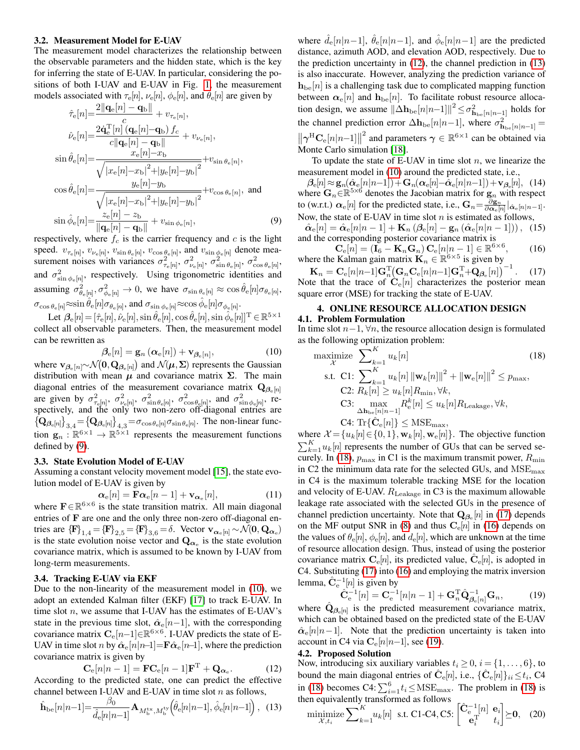### 3.2. Measurement Model for E-UAV

The measurement model characterizes the relationship between the observable parameters and the hidden state, which is the key for inferring the state of E-UAV. In particular, considering the positions of both I-UAV and E-UAV in Fig. [1,](#page-0-1) the measurement models associated with  $\tau_{\rm e}[n]$ ,  $\nu_{\rm e}[n]$ ,  $\phi_{\rm e}[n]$ , and  $\theta_{\rm e}[n]$  are given by

$$
\hat{\tau}_{e}[n] = \frac{2||\mathbf{q}_{e}[n] - \mathbf{q}_{b}||}{c} + v_{\tau_{e}[n]},
$$
\n
$$
\hat{\nu}_{e}[n] = \frac{2\dot{\mathbf{q}}_{e}^{T}[n] \left(\mathbf{q}_{e}[n] - \mathbf{q}_{b}\right) f_{c}}{c||\mathbf{q}_{e}[n] - \mathbf{q}_{b}||} + v_{\nu_{e}[n]},
$$
\n
$$
\sin \hat{\theta}_{e}[n] = \frac{x_{e}[n] - x_{b}}{\sqrt{|x_{e}[n] - x_{b}|^{2} + |y_{e}[n] - y_{b}|^{2}}} + v_{\sin \theta_{e}[n]},
$$
\n
$$
\cos \hat{\theta}_{e}[n] = \frac{y_{e}[n] - y_{b}}{\sqrt{|x_{e}[n] - x_{b}|^{2} + |y_{e}[n] - y_{b}|^{2}}} + v_{\cos \theta_{e}[n]},
$$
\nand\n
$$
\sin \hat{\phi}_{e}[n] = \frac{z_{e}[n] - z_{b}}{\| \mathbf{q}_{e}[n] - \mathbf{q}_{b} \|} + v_{\sin \phi_{e}[n]},
$$
\n(9)

respectively, where  $f_c$  is the carrier frequency and c is the light speed.  $v_{\tau_e[n]}, v_{\nu_e[n]}, v_{\sin \theta_e[n]}, v_{\cos \theta_e[n]},$  and  $v_{\sin \phi_e[n]}$  denote measurement noises with variances  $\sigma_{\tau_e[n]}^2$ ,  $\sigma_{\nu_e[n]}^2$ ,  $\sigma_{\sin\theta_e[n]}^2$ ,  $\sigma_{\cos\theta_e[n]}^2$ , and  $\sigma_{\sin\phi_e[n]}^2$ , respectively. Using trigonometric identities and assuming  $\sigma_{\theta_{\rm e}[n]}^2$ ,  $\sigma_{\phi_{\rm e}[n]}^2 \to 0$ , we have  $\sigma_{\sin \theta_{\rm e}[n]} \approx \cos \hat{\theta}_{\rm e}[n] \sigma_{\theta_{\rm e}[n]}$ ,  $\sigma_{\cos\theta_e[n]} \approx \sin \hat{\theta}_e[n] \sigma_{\theta_e[n]}$ , and  $\sigma_{\sin\phi_e[n]} \approx \cos \hat{\phi}_e[n] \sigma_{\phi_e[n]}$ .

Let  $\beta_{\rm e}[n]$  =  $[\hat{\tau}_{\rm e}[n], \hat{\nu}_{\rm e}[n], \sin \hat{\theta}_{\rm e}[n], \cos \hat{\theta}_{\rm e}[n], \sin \hat{\phi}_{\rm e}[n]]^{\rm T}$   $\in \mathbb{R}^{5 \times 1}$ collect all observable parameters. Then, the measurement model can be rewritten as

<span id="page-2-1"></span>
$$
\beta_{\mathbf{e}}[n] = \mathbf{g}_n\left(\alpha_{\mathbf{e}}[n]\right) + \mathbf{v}_{\beta_{\mathbf{e}}[n]},\tag{10}
$$

where  $\mathbf{v}_{\beta_e[n]} \sim \mathcal{N}(\mathbf{0}, \mathbf{Q}_{\beta_e[n]})$  and  $\mathcal{N}(\mu, \Sigma)$  represents the Gaussian distribution with mean  $\mu$  and covariance matrix  $\Sigma$ . The main diagonal entries of the measurement covariance matrix  $\mathbf{Q}_{\beta_e[n]}$ are given by  $\sigma_{\tau_{e}[n]}^2$ ,  $\sigma_{\nu_{e}[n]}^2$ ,  $\sigma_{\sin\theta_{e}[n]}^2$ ,  $\sigma_{\cos\theta_{e}[n]}^2$ , and  $\sigma_{\sin\phi_{e}[n]}^2$ , respectively, and the only two non-zero off-diagonal entries are  $\{Q_{\beta_e[n]}\}_{3,4} = \{Q_{\beta_e[n]}\}_{4,3} = \sigma_{\cos\theta_e[n]}\sigma_{\sin\theta_e[n]}$ . The non-linear function  $\mathbf{g}_n : \mathbb{R}^{6 \times 1} \to \mathbb{R}^{5 \times 1}$  represents the measurement functions defined by [\(9\)](#page-2-0).

### 3.3. State Evolution Model of E-UAV

Assuming a constant velocity movement model [\[15\]](#page-4-13), the state evolution model of E-UAV is given by

$$
\alpha_{\rm e}[n] = \mathbf{F}\alpha_{\rm e}[n-1] + \mathbf{v}_{\alpha_{\rm e}}[n],\tag{11}
$$

where  $\mathbf{F} \in \mathbb{R}^{6 \times 6}$  is the state transition matrix. All main diagonal entries of F are one and the only three non-zero off-diagonal entries are  ${F}_{1,4} = {F}_{2,5} = {F}_{3,6} = \delta$ . Vector  $\mathbf{v}_{\alpha_e[n]} \sim \mathcal{N}(\mathbf{0}, \mathbf{Q}_{\alpha_e})$ is the state evolution noise vector and  $Q_{\alpha_e}$  is the state evolution covariance matrix, which is assumed to be known by I-UAV from long-term measurements.

# 3.4. Tracking E-UAV via EKF

Due to the non-linearity of the measurement model in [\(10\)](#page-2-1), we adopt an extended Kalman filter (EKF) [\[17\]](#page-4-15) to track E-UAV. In time slot  $n$ , we assume that I-UAV has the estimates of E-UAV's state in the previous time slot,  $\hat{\alpha}_{e}[n-1]$ , with the corresponding covariance matrix  $\mathbf{C}_{\text{e}}[n-1] \in \mathbb{R}^{6 \times 6}$ . I-UAV predicts the state of E-UAV in time slot n by  $\hat{\alpha}_{e}[n|n-1]=F\hat{\alpha}_{e}[n-1]$ , where the prediction covariance matrix is given by

<span id="page-2-2"></span>
$$
C_e[n|n-1] = FC_e[n-1]FT + Q_{\alpha_e}.
$$
 (12)  
According to the predicted state, one can predict the effective  
channel between I-UAV and E-UAV in time slot *n* as follows,

<span id="page-2-3"></span>
$$
\hat{\mathbf{h}}_{\text{be}}[n|n-1] = \frac{\beta_0}{\hat{d}_{\text{e}}[n|n-1]} \mathbf{A}_{M_{\text{b}}^{\text{tx}}, M_{\text{b}}^{\text{ty}}} \left(\hat{\theta}_{\text{e}}[n|n-1], \hat{\phi}_{\text{e}}[n|n-1]\right), (13)
$$

where  $\hat{d}_{e}[n|n-1], \hat{\theta}_{e}[n|n-1]$ , and  $\hat{\phi}_{e}[n|n-1]$  are the predicted distance, azimuth AOD, and elevation AOD, respectively. Due to the prediction uncertainty in [\(12\)](#page-2-2), the channel prediction in [\(13\)](#page-2-3) is also inaccurate. However, analyzing the prediction variance of  $h_{be}[n]$  is a challenging task due to complicated mapping function between  $\alpha_{\rm e}[n]$  and  ${\bf h}_{\rm be}[n]$ . To facilitate robust resource allocation design, we assume  $\|\Delta \mathbf{h}_{\text{be}}[n|n-1]\|^2 \leq \sigma_{\mathbf{h}_{\text{be}}[n|n-1]}^2$  holds for the channel prediction error  $\Delta \mathbf{h}_{\text{be}}[n|n-1]$ , where  $\sigma_{\mathbf{h}_{\text{be}}[n|n-1]}^2$  =  $\|\boldsymbol{\gamma}^{\text{H}}\mathbf{C}_{\text{e}}[n|n-1]\|$ <sup>2</sup> and parameters  $\gamma \in \mathbb{R}^{6 \times 1}$  can be obtained via Monte Carlo simulation [\[18\]](#page-4-16).

To update the state of E-UAV in time slot  $n$ , we linearize the measurement model in [\(10\)](#page-2-1) around the predicted state, i.e.,

 $\beta_{\rm e}[n]\!\approx\!{\bf g}_n(\hat{\pmb{\alpha}}_{\rm e}[n|n-1])\!+\!{\bf G}_n({\pmb{\alpha}}_{\rm e}[n]\!-\!\hat{\pmb{\alpha}}_{\rm e}[n|n-1])\!+\!{\bf v}_{{\boldsymbol{\beta}}_{\rm e}}[n],\,\,\,(14)$ where  $G_n \in \mathbb{R}^{5 \times 6}$  denotes the Jacobian matrix for  $g_n$  with respect to (w.r.t.)  $\alpha_e[n]$  for the predicted state, i.e.,  $G_n = \frac{\partial g_n}{\partial \alpha_e[n]}|_{\hat{\alpha}_e[n]|n-1]}$ . Now, the state of E-UAV in time slot  $n$  is estimated as follows,

<span id="page-2-0"></span> $\hat{\alpha}_{\rm e}[n] = \hat{\alpha}_{\rm e}[n|n-1] + {\bf K}_n \left( \beta_{\rm e}[n] - {\bf g}_n \left( \hat{\alpha}_{\rm e}[n|n-1] \right) \right),$  (15) and the corresponding posterior covariance matrix is

<span id="page-2-6"></span> $\mathbf{C}_{\mathrm{e}}[n] = (\mathbf{I}_{6} - \mathbf{K}_{n} \mathbf{G}_{n}) \mathbf{C}_{\mathrm{e}}[n|n-1] \in \mathbb{R}^{6 \times 6}$  $(16)$ where the Kalman gain matrix  $\mathbf{K}_n \in \mathbb{R}^{6 \times 5}$  is given by

<span id="page-2-5"></span> $\mathbf{K}_n = \mathbf{C}_{\rm e}[n|n-1] \mathbf{G}_{n}^{\rm T} \! \left(\mathbf{G}_{n} \mathbf{C}_{\rm e}[n|n-1] \mathbf{G}_{n}^{\rm T} \!+\! \mathbf{Q}_{\boldsymbol{\beta}_{\rm e}}[n]\right)^{-1}$  $(17)$ Note that the trace of  $\hat{\mathbf{C}}_{\text{e}}[n]$  characterizes the posterior mean square error (MSE) for tracking the state of E-UAV.

# 4. ONLINE RESOURCE ALLOCATION DESIGN

### 4.1. Problem Formulation

In time slot  $n-1$ ,  $\forall n$ , the resource allocation design is formulated as the following optimization problem:

<span id="page-2-4"></span>maximize 
$$
\sum_{k=1}^{K} u_k[n]
$$
(18)  
s.t. C1: 
$$
\sum_{k=1}^{K} u_k[n] ||\mathbf{w}_k[n]||^2 + ||\mathbf{w}_e[n]||^2 \le p_{\text{max}},
$$
C2: 
$$
R_k[n] \ge u_k[n]R_{\min}, \forall k,
$$
C3: max 
$$
\max_{\Delta \mathbf{h}_{\text{be}}[n|n-1]} R_{\text{e}}^{k}[n] \le u_k[n]R_{\text{Leakage}}, \forall k,
$$
C4: Tr{
$$
\hat{\mathbf{C}}[n] \le \text{MSE}_{\text{max}},
$$
(19)

where  $\mathcal{X} = \{u_k[n] \in \{0, 1\}, \mathbf{w}_k[n], \mathbf{w}_e[n]\}.$  The objective function  $\sum_{k=1}^{K} u_k[n]$  represents the number of GUs that can be served se-curely. In [\(18\)](#page-2-4),  $p_{\text{max}}$  in C1 is the maximum transmit power,  $R_{\text{min}}$ in C2 the minimum data rate for the selected GUs, and  $MSE<sub>max</sub>$ in C4 is the maximum tolerable tracking MSE for the location and velocity of E-UAV.  $R_{\text{Leakage}}$  in C3 is the maximum allowable leakage rate associated with the selected GUs in the presence of channel prediction uncertainty. Note that  $\mathbf{Q}_{\beta_e}[n]$  in [\(17\)](#page-2-5) depends on the MF output SNR in [\(8\)](#page-1-5) and thus  $\mathbf{C}_{\mathbf{e}}[n]$  in [\(16\)](#page-2-6) depends on the values of  $\theta_{\rm e}[n]$ ,  $\phi_{\rm e}[n]$ , and  $d_{\rm e}[n]$ , which are unknown at the time of resource allocation design. Thus, instead of using the posterior covariance matrix  $\mathbf{C}_{\text{e}}[n]$ , its predicted value,  $\hat{\mathbf{C}}_{\text{e}}[n]$ , is adopted in C4. Substituting [\(17\)](#page-2-5) into [\(16\)](#page-2-6) and employing the matrix inversion lemma,  $\hat{\mathbf{C}}_{\mathrm{e}}^{-1}[n]$  is given by

<span id="page-2-7"></span>
$$
\hat{\mathbf{C}}_{\mathbf{e}}^{-1}[n] = \mathbf{C}_{\mathbf{e}}^{-1}[n|n-1] + \mathbf{G}_{n}^{\mathrm{T}} \hat{\mathbf{Q}}_{\beta_{\mathbf{e}}[n]}^{-1} \mathbf{G}_{n},
$$
(19)

where  $\hat{\mathbf{Q}}_{\boldsymbol{\beta}_{e}[n]}$  is the predicted measurement covariance matrix, which can be obtained based on the predicted state of the E-UAV  $\hat{\alpha}_{e}[n|n-1]$ . Note that the prediction uncertainty is taken into account in C4 via  $\mathbf{C}_{e}[n|n-1]$ , see [\(19\)](#page-2-7).

### 4.2. Proposed Solution

Now, introducing six auxiliary variables  $t_i \geq 0$ ,  $i = \{1, \ldots, 6\}$ , to bound the main diagonal entries of  $\hat{\mathbf{C}}_{\text{e}}[n]$ , i.e.,  $\{\hat{\mathbf{C}}_{\text{e}}[n]\}_{ii} \le t_i$ , C4 in [\(18\)](#page-2-4) becomes C4:  $\sum_{i=1}^{6} t_i \leq \text{MSE}_{\text{max}}$ . The problem in (18) is then equivalently transformed as follows

<span id="page-2-8"></span>
$$
\underset{\mathcal{X},t_i}{\text{minimize}} \sum_{k=1}^{K} u_k[n] \quad \text{s.t. C1-C4, C5:} \begin{bmatrix} \hat{\mathbf{C}}_{\mathbf{e}}^{-1}[n] & \mathbf{e}_i \\ \mathbf{e}_i^{\mathrm{T}} & t_i \end{bmatrix} \succeq \mathbf{0}, \quad (20)
$$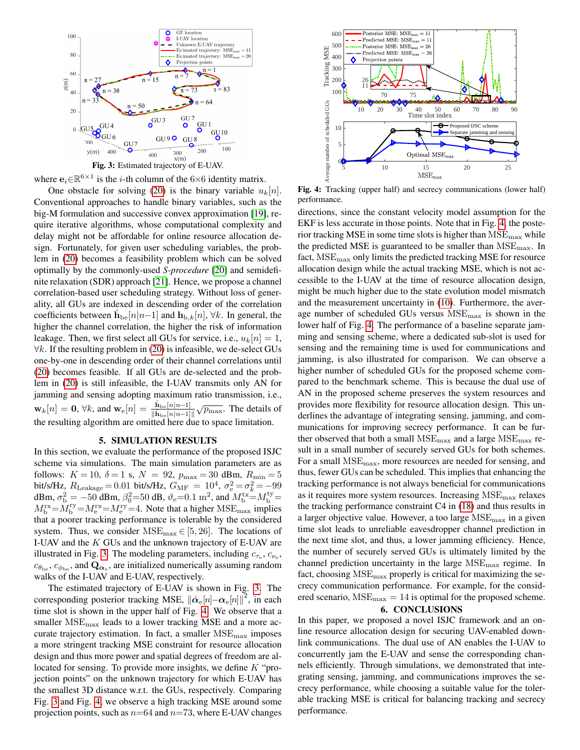<span id="page-3-0"></span>



One obstacle for solving [\(20\)](#page-2-8) is the binary variable  $u_k[n]$ . Conventional approaches to handle binary variables, such as the big-M formulation and successive convex approximation [\[19\]](#page-4-17), require iterative algorithms, whose computational complexity and delay might not be affordable for online resource allocation design. Fortunately, for given user scheduling variables, the problem in [\(20\)](#page-2-8) becomes a feasibility problem which can be solved optimally by the commonly-used *S-procedure* [\[20\]](#page-4-18) and semidefinite relaxation (SDR) approach [\[21\]](#page-4-19). Hence, we propose a channel correlation-based user scheduling strategy. Without loss of generality, all GUs are indexed in descending order of the correlation coefficients between  $\hat{\mathbf{h}}_{\text{be}}[n|n-1]$  and  $\mathbf{h}_{\text{b},k}[n]$ ,  $\forall k$ . In general, the higher the channel correlation, the higher the risk of information leakage. Then, we first select all GUs for service, i.e.,  $u_k[n] = 1$ ,  $\forall k$ . If the resulting problem in [\(20\)](#page-2-8) is infeasible, we de-select GUs one-by-one in descending order of their channel correlations until [\(20\)](#page-2-8) becomes feasible. If all GUs are de-selected and the problem in [\(20\)](#page-2-8) is still infeasible, the I-UAV transmits only AN for jamming and sensing adopting maximum ratio transmission, i.e.,  $\mathbf{w}_k[n] = \mathbf{0}, \forall k$ , and  $\mathbf{w}_e[n] = \frac{\hat{\mathbf{h}}_{be}[n|n-1]}{\|\hat{\mathbf{h}}_{be}[n|n-1]\|} \sqrt{p_{\text{max}}}$ . The details of the resulting algorithm are omitted here due to space limitation.

## 5. SIMULATION RESULTS

In this section, we evaluate the performance of the proposed ISJC scheme via simulations. The main simulation parameters are as follows:  $K = 10$ ,  $\delta = 1$  s,  $N = 92$ ,  $p_{\text{max}} = 30$  dBm,  $R_{\text{min}} = 5$ bit/s/Hz,  $R_{\text{Leakage}} = 0.01$  bit/s/Hz,  $G_{\text{MF}} = 10^4$ ,  $\sigma_{\text{e}}^2 = \sigma_k^2 = -99$ dBm,  $\sigma_{\rm b}^2 = -50$  dBm,  $\beta_0^2 = 50$  dB,  $\vartheta_{\rm e} = 0.1$  m<sup>2</sup>, and  $M_{\rm b}^{\rm tx} = M_{\rm b}^{\rm ty} =$  $M_{\rm b}^{\rm rx} = M_{\rm e}^{\rm ry} = M_{\rm e}^{\rm ry} = 4$ . Note that a higher  ${\rm MSE}_{\rm max}$  implies that a poorer tracking performance is tolerable by the considered system. Thus, we consider  $MSE_{\text{max}} \in [5, 26]$ . The locations of I-UAV and the  $K$  GUs and the unknown trajectory of E-UAV are illustrated in Fig. [3.](#page-3-0) The modeling parameters, including  $c_{\tau_e}$ ,  $c_{\nu_e}$ ,  $c_{\theta_{be}}, c_{\phi_{be}},$  and  $\mathbf{Q}_{\alpha_e}$ , are initialized numerically assuming random walks of the I-UAV and E-UAV, respectively.

The estimated trajectory of E-UAV is shown in Fig. [3.](#page-3-0) The corresponding posterior tracking MSE,  $\|\hat{\boldsymbol{\alpha}}_{\rm e}[n]\!-\!\boldsymbol{\alpha}_{\rm e}[n]\|^2$ , in each time slot is shown in the upper half of Fig. [4.](#page-3-1) We observe that a smaller  $MSE<sub>max</sub>$  leads to a lower tracking MSE and a more accurate trajectory estimation. In fact, a smaller  $MSE<sub>max</sub>$  imposes a more stringent tracking MSE constraint for resource allocation design and thus more power and spatial degrees of freedom are allocated for sensing. To provide more insights, we define K "projection points" on the unknown trajectory for which E-UAV has the smallest 3D distance w.r.t. the GUs, respectively. Comparing Fig. [3](#page-3-0) and Fig. [4,](#page-3-1) we observe a high tracking MSE around some projection points, such as  $n=64$  and  $n=73$ , where E-UAV changes

<span id="page-3-1"></span>

Fig. 4: Tracking (upper half) and secrecy communications (lower half) performance.

directions, since the constant velocity model assumption for the EKF is less accurate in those points. Note that in Fig. [4,](#page-3-1) the posterior tracking MSE in some time slots is higher than  $MSE<sub>max</sub>$  while the predicted MSE is guaranteed to be smaller than  $MSE<sub>max</sub>$ . In fact,  $MSE<sub>max</sub>$  only limits the predicted tracking MSE for resource allocation design while the actual tracking MSE, which is not accessible to the I-UAV at the time of resource allocation design, might be much higher due to the state evolution model mismatch and the measurement uncertainty in [\(10\)](#page-2-1). Furthermore, the average number of scheduled GUs versus  $MSE<sub>max</sub>$  is shown in the lower half of Fig. [4.](#page-3-1) The performance of a baseline separate jamming and sensing scheme, where a dedicated sub-slot is used for sensing and the remaining time is used for communications and jamming, is also illustrated for comparison. We can observe a higher number of scheduled GUs for the proposed scheme compared to the benchmark scheme. This is because the dual use of AN in the proposed scheme preserves the system resources and provides more flexibility for resource allocation design. This underlines the advantage of integrating sensing, jamming, and communications for improving secrecy performance. It can be further observed that both a small  $MSE<sub>max</sub>$  and a large  $MSE<sub>max</sub>$  result in a small number of securely served GUs for both schemes. For a small  $MSE<sub>max</sub>$ , more resources are needed for sensing, and thus, fewer GUs can be scheduled. This implies that enhancing the tracking performance is not always beneficial for communications as it requires more system resources. Increasing  $MSE<sub>max</sub>$  relaxes the tracking performance constraint C4 in [\(18\)](#page-2-4) and thus results in a larger objective value. However, a too large  $MSE<sub>max</sub>$  in a given time slot leads to unreliable eavesdropper channel prediction in the next time slot, and thus, a lower jamming efficiency. Hence, the number of securely served GUs is ultimately limited by the channel prediction uncertainty in the large  $MSE<sub>max</sub>$  regime. In fact, choosing  $MSE<sub>max</sub>$  properly is critical for maximizing the secrecy communication performance. For example, for the considered scenario,  $MSE_{\text{max}} = 14$  is optimal for the proposed scheme.

# 6. CONCLUSIONS

In this paper, we proposed a novel ISJC framework and an online resource allocation design for securing UAV-enabled downlink communications. The dual use of AN enables the I-UAV to concurrently jam the E-UAV and sense the corresponding channels efficiently. Through simulations, we demonstrated that integrating sensing, jamming, and communications improves the secrecy performance, while choosing a suitable value for the tolerable tracking MSE is critical for balancing tracking and secrecy performance.